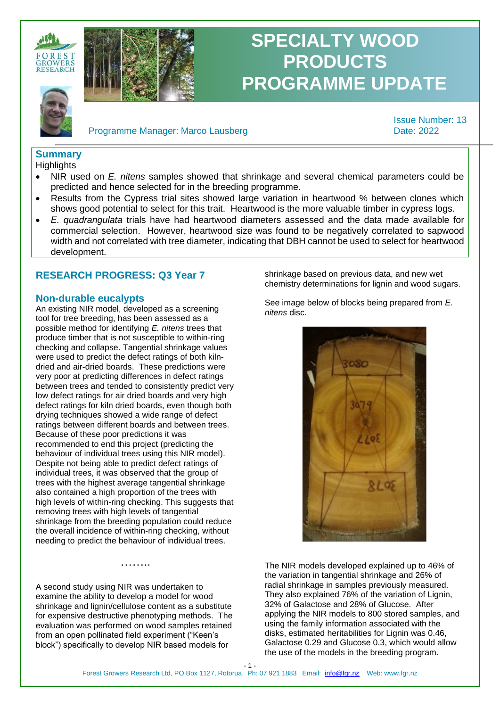



# **SPECIALTY WOOD PRODUCTS PROGRAMME UPDATE**

Programme Manager: Marco Lausberg Date: 2022

Issue Number: 13

## **Summary**

**Highlights** 

- NIR used on *E. nitens* samples showed that shrinkage and several chemical parameters could be predicted and hence selected for in the breeding programme.
- Results from the Cypress trial sites showed large variation in heartwood % between clones which shows good potential to select for this trait. Heartwood is the more valuable timber in cypress logs.
- *E. quadrangulata* trials have had heartwood diameters assessed and the data made available for commercial selection. However, heartwood size was found to be negatively correlated to sapwood width and not correlated with tree diameter, indicating that DBH cannot be used to select for heartwood development.

### **RESEARCH PROGRESS: Q3 Year 7**

### **Non-durable eucalypts**

An existing NIR model, developed as a screening tool for tree breeding, has been assessed as a possible method for identifying *E. nitens* trees that produce timber that is not susceptible to within-ring checking and collapse. Tangential shrinkage values were used to predict the defect ratings of both kilndried and air-dried boards. These predictions were very poor at predicting differences in defect ratings between trees and tended to consistently predict very low defect ratings for air dried boards and very high defect ratings for kiln dried boards, even though both drying techniques showed a wide range of defect ratings between different boards and between trees. Because of these poor predictions it was recommended to end this project (predicting the behaviour of individual trees using this NIR model). Despite not being able to predict defect ratings of individual trees, it was observed that the group of trees with the highest average tangential shrinkage also contained a high proportion of the trees with high levels of within-ring checking. This suggests that removing trees with high levels of tangential shrinkage from the breeding population could reduce the overall incidence of within-ring checking, without needing to predict the behaviour of individual trees.

A second study using NIR was undertaken to examine the ability to develop a model for wood shrinkage and lignin/cellulose content as a substitute for expensive destructive phenotyping methods. The evaluation was performed on wood samples retained from an open pollinated field experiment ("Keen's block") specifically to develop NIR based models for

………

shrinkage based on previous data, and new wet chemistry determinations for lignin and wood sugars.

See image below of blocks being prepared from *E. nitens* disc.



The NIR models developed explained up to 46% of the variation in tangential shrinkage and 26% of radial shrinkage in samples previously measured. They also explained 76% of the variation of Lignin, 32% of Galactose and 28% of Glucose. After applying the NIR models to 800 stored samples, and using the family information associated with the disks, estimated heritabilities for Lignin was 0.46, Galactose 0.29 and Glucose 0.3, which would allow the use of the models in the breeding program.